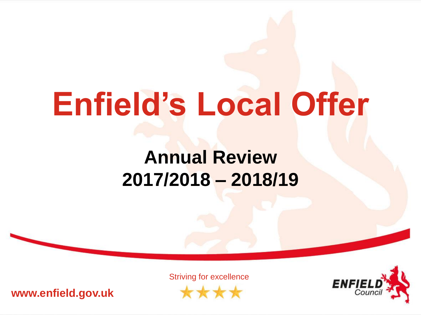# **Enfield's Local Offer**

#### **Annual Review 2017/2018 – 2018/19**

**www.enfield.gov.uk**

Striving for excellence

\*\*\*

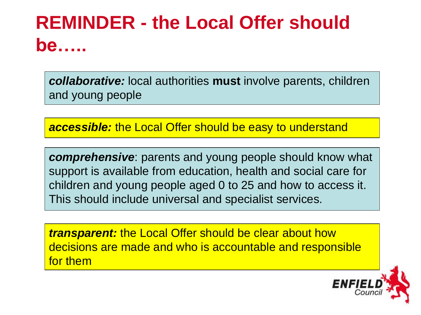#### **REMINDER - the Local Offer should be…..**

*collaborative:* local authorities **must** involve parents, children and young people

*accessible:* the Local Offer should be easy to understand

*comprehensive*: parents and young people should know what support is available from education, health and social care for children and young people aged 0 to 25 and how to access it. This should include universal and specialist services.

*transparent:* the Local Offer should be clear about how decisions are made and who is accountable and responsible for them

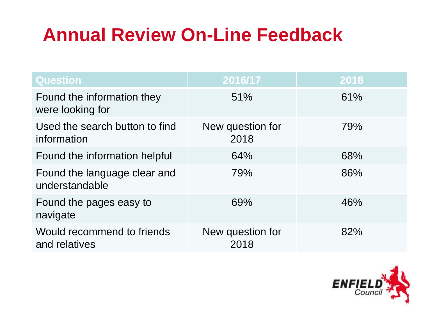#### **Annual Review On-Line Feedback**

| <b>Question</b>                                | 2016/17                  | 2018 |
|------------------------------------------------|--------------------------|------|
| Found the information they<br>were looking for | 51%                      | 61%  |
| Used the search button to find<br>information  | New question for<br>2018 | 79%  |
| Found the information helpful                  | 64%                      | 68%  |
| Found the language clear and<br>understandable | 79%                      | 86%  |
| Found the pages easy to<br>navigate            | 69%                      | 46%  |
| Would recommend to friends<br>and relatives    | New question for<br>2018 | 82%  |

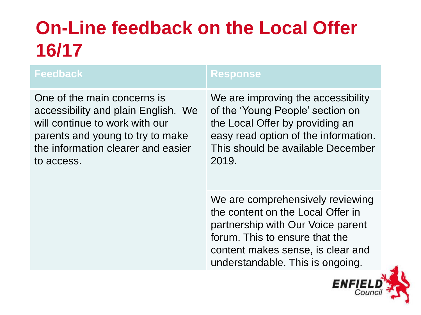## **On-Line feedback on the Local Offer 16/17**

#### **Feedback Response**

One of the main concerns is accessibility and plain English. We will continue to work with our parents and young to try to make the information clearer and easier to access.

We are improving the accessibility of the 'Young People' section on the Local Offer by providing an easy read option of the information. This should be available December 2019.

We are comprehensively reviewing the content on the Local Offer in partnership with Our Voice parent forum. This to ensure that the content makes sense, is clear and understandable. This is ongoing.

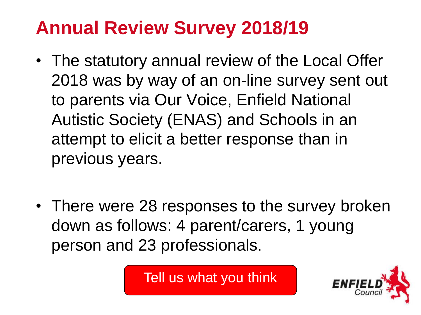#### **Annual Review Survey 2018/19**

- The statutory annual review of the Local Offer 2018 was by way of an on-line survey sent out to parents via Our Voice, Enfield National Autistic Society (ENAS) and Schools in an attempt to elicit a better response than in previous years.
- There were 28 responses to the survey broken down as follows: 4 parent/carers, 1 young person and 23 professionals.

Tell us what you think

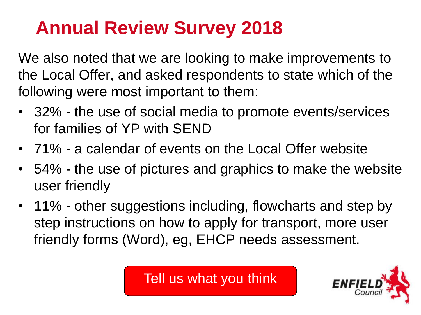#### **Annual Review Survey 2018**

We also noted that we are looking to make improvements to the Local Offer, and asked respondents to state which of the following were most important to them:

- 32% the use of social media to promote events/services for families of YP with SEND
- 71% a calendar of events on the Local Offer website
- 54% the use of pictures and graphics to make the website user friendly
- 11% other suggestions including, flowcharts and step by step instructions on how to apply for transport, more user friendly forms (Word), eg, EHCP needs assessment.

Tell us what you think

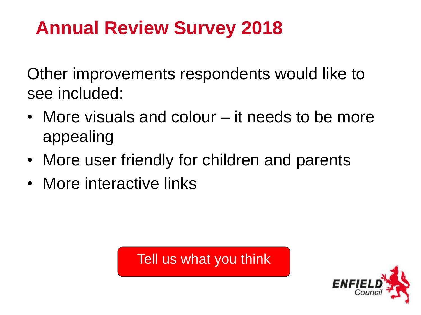#### **Annual Review Survey 2018**

Other improvements respondents would like to see included:

- More visuals and colour it needs to be more appealing
- More user friendly for children and parents
- More interactive links

Tell us what you think

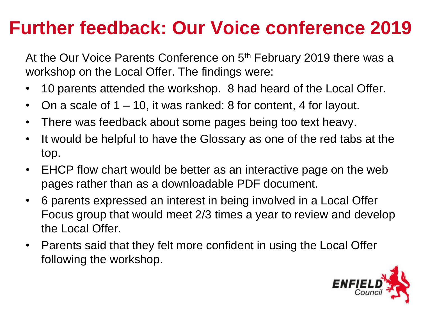#### **Further feedback: Our Voice conference 2019**

At the Our Voice Parents Conference on 5<sup>th</sup> February 2019 there was a workshop on the Local Offer. The findings were:

- 10 parents attended the workshop. 8 had heard of the Local Offer.
- On a scale of 1 10, it was ranked: 8 for content, 4 for layout.
- There was feedback about some pages being too text heavy.
- It would be helpful to have the Glossary as one of the red tabs at the top.
- EHCP flow chart would be better as an interactive page on the web pages rather than as a downloadable PDF document.
- 6 parents expressed an interest in being involved in a Local Offer Focus group that would meet 2/3 times a year to review and develop the Local Offer.
- Parents said that they felt more confident in using the Local Offer following the workshop.

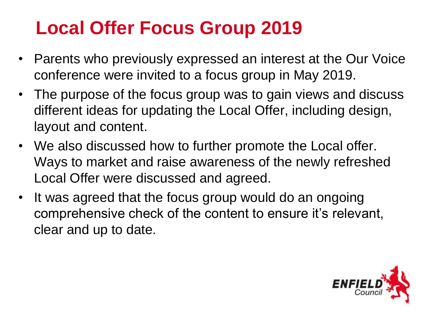#### **Local Offer Focus Group 2019**

- Parents who previously expressed an interest at the Our Voice conference were invited to a focus group in May 2019.
- The purpose of the focus group was to gain views and discuss different ideas for updating the Local Offer, including design, layout and content.
- We also discussed how to further promote the Local offer. Ways to market and raise awareness of the newly refreshed Local Offer were discussed and agreed.
- It was agreed that the focus group would do an ongoing comprehensive check of the content to ensure it's relevant, clear and up to date.

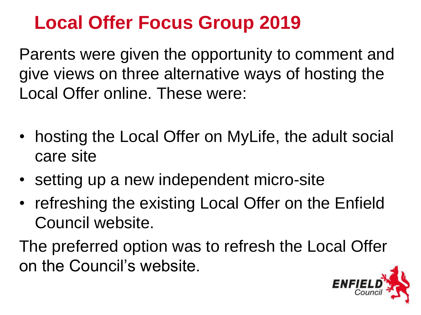#### **Local Offer Focus Group 2019**

Parents were given the opportunity to comment and give views on three alternative ways of hosting the Local Offer online. These were:

- hosting the Local Offer on MyLife, the adult social care site
- setting up a new independent micro-site
- refreshing the existing Local Offer on the Enfield Council website.

The preferred option was to refresh the Local Offer on the Council's website.

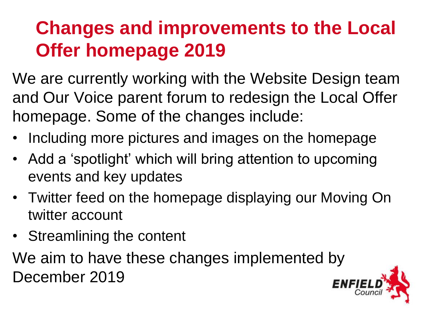#### **Changes and improvements to the Local Offer homepage 2019**

We are currently working with the Website Design team and Our Voice parent forum to redesign the Local Offer homepage. Some of the changes include:

- Including more pictures and images on the homepage
- Add a 'spotlight' which will bring attention to upcoming events and key updates
- Twitter feed on the homepage displaying our Moving On twitter account
- Streamlining the content

We aim to have these changes implemented by December 2019

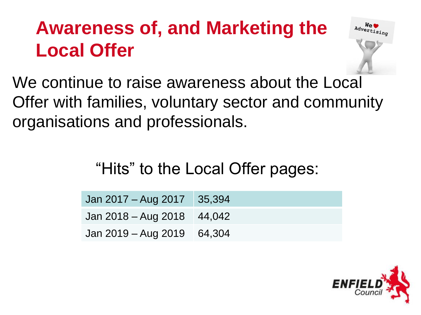### **Awareness of, and Marketing the Local Offer**



We continue to raise awareness about the Local Offer with families, voluntary sector and community organisations and professionals.

"Hits" to the Local Offer pages:

| Jan 2017 – Aug 2017 35,394   |  |
|------------------------------|--|
| Jan $2018 - Aug 2018$ 44,042 |  |
| Jan $2019 - Aug$ 2019 64,304 |  |

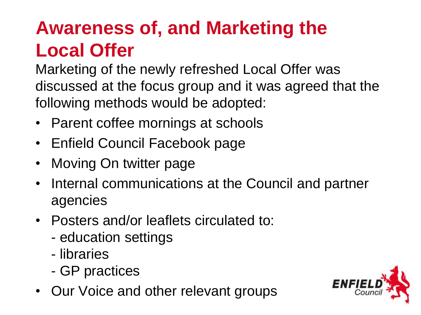## **Awareness of, and Marketing the Local Offer**

Marketing of the newly refreshed Local Offer was discussed at the focus group and it was agreed that the following methods would be adopted:

- Parent coffee mornings at schools
- Enfield Council Facebook page
- Moving On twitter page
- Internal communications at the Council and partner agencies
- Posters and/or leaflets circulated to:
	- education settings
	- libraries
	- GP practices
- Our Voice and other relevant groups